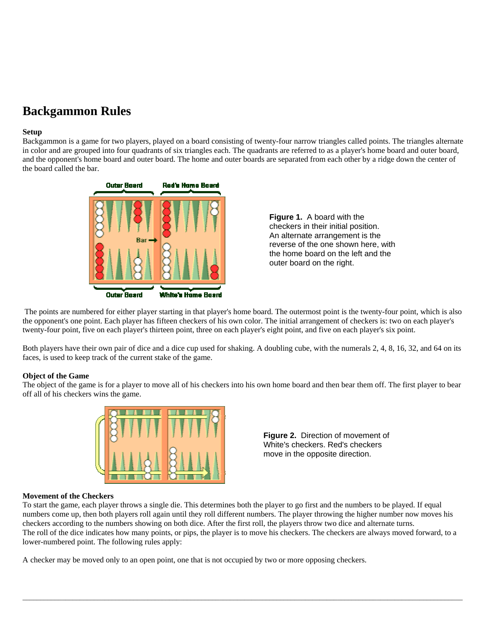# **Backgammon Rules**

# **Setup**

Backgammon is a game for two players, played on a board consisting of twenty-four narrow triangles called points. The triangles alternate in color and are grouped into four quadrants of six triangles each. The quadrants are referred to as a player's home board and outer board, and the opponent's home board and outer board. The home and outer boards are separated from each other by a ridge down the center of the board called the bar.



**Figure 1.** A board with the checkers in their initial position. An alternate arrangement is the reverse of the one shown here, with the home board on the left and the outer board on the right.

 The points are numbered for either player starting in that player's home board. The outermost point is the twenty-four point, which is also the opponent's one point. Each player has fifteen checkers of his own color. The initial arrangement of checkers is: two on each player's twenty-four point, five on each player's thirteen point, three on each player's eight point, and five on each player's six point.

Both players have their own pair of dice and a dice cup used for shaking. A doubling cube, with the numerals 2, 4, 8, 16, 32, and 64 on its faces, is used to keep track of the current stake of the game.

### **Object of the Game**

The object of the game is for a player to move all of his checkers into his own home board and then bear them off. The first player to bear off all of his checkers wins the game.



**Figure 2.** Direction of movement of White's checkers. Red's checkers move in the opposite direction.

### **Movement of the Checkers**

To start the game, each player throws a single die. This determines both the player to go first and the numbers to be played. If equal numbers come up, then both players roll again until they roll different numbers. The player throwing the higher number now moves his checkers according to the numbers showing on both dice. After the first roll, the players throw two dice and alternate turns. The roll of the dice indicates how many points, or pips, the player is to move his checkers. The checkers are always moved forward, to a lower-numbered point. The following rules apply:

 $\bot$  , and the set of the set of the set of the set of the set of the set of the set of the set of the set of the set of the set of the set of the set of the set of the set of the set of the set of the set of the set of t

A checker may be moved only to an open point, one that is not occupied by two or more opposing checkers.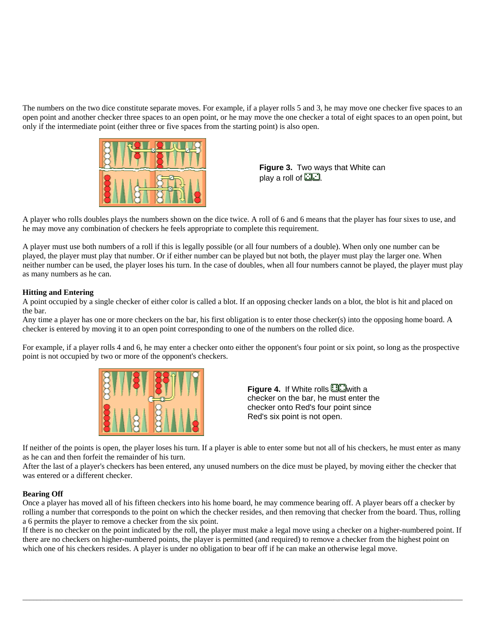The numbers on the two dice constitute separate moves. For example, if a player rolls 5 and 3, he may move one checker five spaces to an open point and another checker three spaces to an open point, or he may move the one checker a total of eight spaces to an open point, but only if the intermediate point (either three or five spaces from the starting point) is also open.



**Figure 3.** Two ways that White can play a roll of  $\Xi$ .

A player who rolls doubles plays the numbers shown on the dice twice. A roll of 6 and 6 means that the player has four sixes to use, and he may move any combination of checkers he feels appropriate to complete this requirement.

A player must use both numbers of a roll if this is legally possible (or all four numbers of a double). When only one number can be played, the player must play that number. Or if either number can be played but not both, the player must play the larger one. When neither number can be used, the player loses his turn. In the case of doubles, when all four numbers cannot be played, the player must play as many numbers as he can.

### **Hitting and Entering**

A point occupied by a single checker of either color is called a blot. If an opposing checker lands on a blot, the blot is hit and placed on the bar.

Any time a player has one or more checkers on the bar, his first obligation is to enter those checker(s) into the opposing home board. A checker is entered by moving it to an open point corresponding to one of the numbers on the rolled dice.

For example, if a player rolls 4 and 6, he may enter a checker onto either the opponent's four point or six point, so long as the prospective point is not occupied by two or more of the opponent's checkers.



**Figure 4.** If White rolls **Walla** a checker on the bar, he must enter the checker onto Red's four point since Red's six point is not open.

If neither of the points is open, the player loses his turn. If a player is able to enter some but not all of his checkers, he must enter as many as he can and then forfeit the remainder of his turn.

After the last of a player's checkers has been entered, any unused numbers on the dice must be played, by moving either the checker that was entered or a different checker.

### **Bearing Off**

Once a player has moved all of his fifteen checkers into his home board, he may commence bearing off. A player bears off a checker by rolling a number that corresponds to the point on which the checker resides, and then removing that checker from the board. Thus, rolling a 6 permits the player to remove a checker from the six point.

If there is no checker on the point indicated by the roll, the player must make a legal move using a checker on a higher-numbered point. If there are no checkers on higher-numbered points, the player is permitted (and required) to remove a checker from the highest point on which one of his checkers resides. A player is under no obligation to bear off if he can make an otherwise legal move.

 $\bot$  , and the set of the set of the set of the set of the set of the set of the set of the set of the set of the set of the set of the set of the set of the set of the set of the set of the set of the set of the set of t